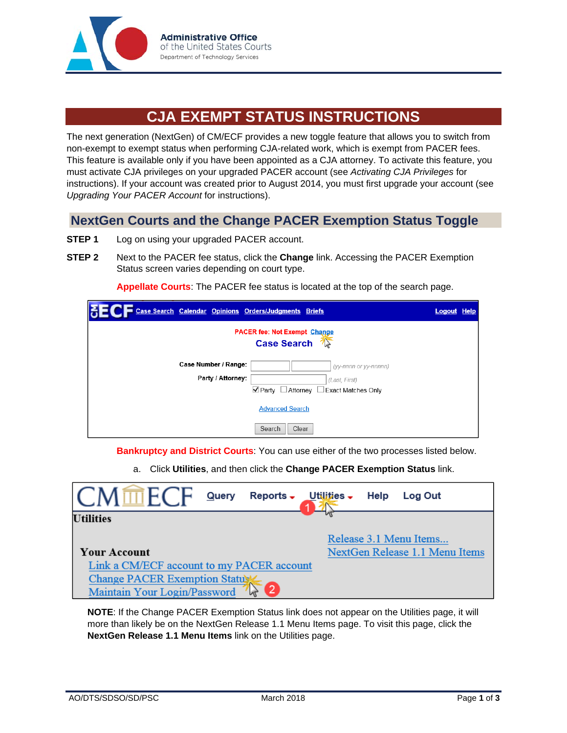

## **CJA EXEMPT STATUS INSTRUCTIONS**

The next generation (NextGen) of CM/ECF provides a new toggle feature that allows you to switch from non-exempt to exempt status when performing CJA-related work, which is exempt from PACER fees. This feature is available only if you have been appointed as a CJA attorney. To activate this feature, you must activate CJA privileges on your upgraded PACER account (see *Activating CJA Privileges* for instructions). If your account was created prior to August 2014, you must first upgrade your account (see *Upgrading Your PACER Account* for instructions).

## **NextGen Courts and the Change PACER Exemption Status Toggle**

- **STEP 1** Log on using your upgraded PACER account.
- **STEP 2** Next to the PACER fee status, click the **Change** link. Accessing the PACER Exemption Status screen varies depending on court type.

**Appellate Courts**: The PACER fee status is located at the top of the search page.

| Case Search Calendar Opinions Orders/Judgments Briefs |                                                                | <b>Logout Help</b> |  |  |
|-------------------------------------------------------|----------------------------------------------------------------|--------------------|--|--|
| <b>PACER fee: Not Exempt Change</b>                   |                                                                |                    |  |  |
|                                                       | <b>Case Search</b>                                             |                    |  |  |
| Case Number / Range:                                  | (yy-nnnn or yy-nnnnn)                                          |                    |  |  |
| Party / Attorney:                                     | (Last, First)                                                  |                    |  |  |
|                                                       | $\blacktriangleright$ Partv<br>□ Attorney □ Exact Matches Only |                    |  |  |
| <b>Advanced Search</b>                                |                                                                |                    |  |  |
| Search<br>Clear                                       |                                                                |                    |  |  |

**Bankruptcy and District Courts**: You can use either of the two processes listed below.

a. Click **Utilities**, and then click the **Change PACER Exemption Status** link.

| $M \overline{m} FCF$<br>Reports - Utilities -<br><b>Query</b> | Help<br>Log Out                |  |  |
|---------------------------------------------------------------|--------------------------------|--|--|
| <b>Utilities</b>                                              |                                |  |  |
|                                                               | Release 3.1 Menu Items         |  |  |
| <b>Your Account</b>                                           | NextGen Release 1.1 Menu Items |  |  |
| Link a CM/ECF account to my PACER account                     |                                |  |  |
| Change PACER Exemption Status                                 |                                |  |  |
| Maintain Your Login/Password                                  |                                |  |  |

**NOTE**: If the Change PACER Exemption Status link does not appear on the Utilities page, it will more than likely be on the NextGen Release 1.1 Menu Items page. To visit this page, click the **NextGen Release 1.1 Menu Items** link on the Utilities page.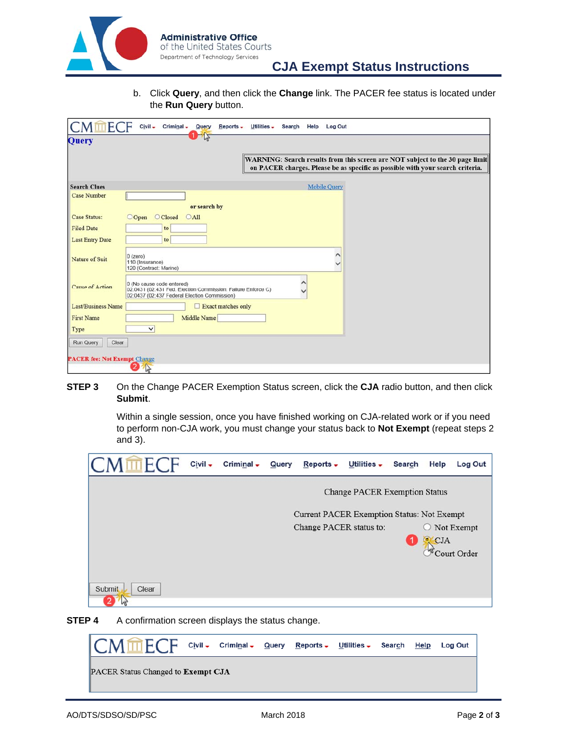

b. Click **Query**, and then click the **Change** link. The PACER fee status is located under the **Run Query** button.

| н                                   | $Civil -$<br>Criminal - Query<br>Reports -<br>Utilities -<br>Search Help<br>Log Out                                                                             |
|-------------------------------------|-----------------------------------------------------------------------------------------------------------------------------------------------------------------|
| <b>Query</b>                        |                                                                                                                                                                 |
|                                     | WARNING: Search results from this screen are NOT subject to the 30 page limit<br>on PACER charges. Please be as specific as possible with your search criteria. |
| <b>Search Clues</b>                 | <b>Mobile Query</b>                                                                                                                                             |
| <b>Case Number</b>                  |                                                                                                                                                                 |
|                                     | or search by                                                                                                                                                    |
| <b>Case Status:</b>                 | <b>O</b> Closed<br>$O$ All<br>OOpen                                                                                                                             |
| <b>Filed Date</b>                   | to                                                                                                                                                              |
| <b>Last Entry Date</b>              | to                                                                                                                                                              |
| Nature of Suit                      | $0$ (zero)<br>110 (Insurance)<br>120 (Contract: Marine)                                                                                                         |
| <b>Cause of Action</b>              | 0 (No cause code entered)<br>02.0431 (02.431 Fed. Election Commission: Failure Enforce C)<br>02:0437 (02:437 Federal Election Commission)                       |
| <b>Last/Business Name</b>           | Exact matches only                                                                                                                                              |
| <b>First Name</b>                   | Middle Name                                                                                                                                                     |
| Type                                | $\checkmark$                                                                                                                                                    |
| Run Query<br>Clear                  |                                                                                                                                                                 |
|                                     |                                                                                                                                                                 |
| <b>PACER fee: Not Exempt Change</b> | 2<br>$\mathbb{R}$                                                                                                                                               |

**STEP 3** On the Change PACER Exemption Status screen, click the CJA radio button, and then click **Submit**.

> Within a single session, once you have finished working on CJA-related work or if you need to perform non-CJA work, you must change your status back to **Not Exempt** (repeat steps 2 and 3).